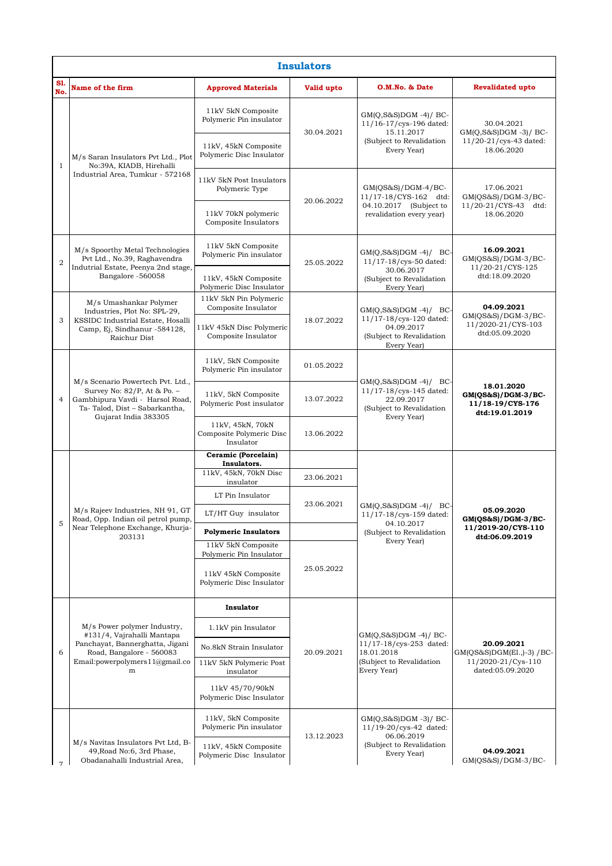| <b>Insulators</b> |                                                                                                                                                                    |                                                           |            |                                                                                                             |                                                                                    |  |  |  |  |
|-------------------|--------------------------------------------------------------------------------------------------------------------------------------------------------------------|-----------------------------------------------------------|------------|-------------------------------------------------------------------------------------------------------------|------------------------------------------------------------------------------------|--|--|--|--|
| S1.<br>No.        | Name of the firm                                                                                                                                                   | <b>Approved Materials</b>                                 | Valid upto | O.M.No. & Date                                                                                              | <b>Revalidated upto</b>                                                            |  |  |  |  |
| $\mathbf{1}$      | M/s Saran Insulators Pvt Ltd., Plot<br>No:39A, KIADB, Hirehalli<br>Industrial Area, Tumkur - 572168                                                                | 11kV 5kN Composite<br>Polymeric Pin insulator             | 30.04.2021 | $GM(Q, S\&S)DGM -4)/BC$<br>11/16-17/cys-196 dated:<br>15.11.2017<br>(Subject to Revalidation<br>Every Year) | 30.04.2021<br>$GM(Q, S\&S)DGM -3)/BC$<br>11/20-21/cys-43 dated:<br>18.06.2020      |  |  |  |  |
|                   |                                                                                                                                                                    | 11kV, 45kN Composite<br>Polymeric Disc Insulator          |            |                                                                                                             |                                                                                    |  |  |  |  |
|                   |                                                                                                                                                                    | 11kV 5kN Post Insulators<br>Polymeric Type                | 20.06.2022 | $GM(QS&S)/DGM-4/BC-$<br>11/17-18/CYS-162 dtd:<br>04.10.2017 (Subject to<br>revalidation every year)         | 17.06.2021<br>$GM(QS&S)/DGM-3/BC-$<br>11/20-21/CYS-43 dtd:<br>18.06.2020           |  |  |  |  |
|                   |                                                                                                                                                                    | 11kV 70kN polymeric<br>Composite Insulators               |            |                                                                                                             |                                                                                    |  |  |  |  |
| $\overline{2}$    | M/s Spoorthy Metal Technologies<br>Pvt Ltd., No.39, Raghavendra<br>Indutrial Estate, Peenya 2nd stage,<br>Bangalore -560058                                        | 11kV 5kN Composite<br>Polymeric Pin insulator             | 25.05.2022 | $GM(Q,S\&S)DGM -4)/BC$<br>11/17-18/cys-50 dated:<br>30.06.2017<br>(Subject to Revalidation<br>Every Year)   | 16.09.2021<br>$GM(QS&S)/DGM-3/BC-$<br>11/20-21/CYS-125<br>dtd:18.09.2020           |  |  |  |  |
|                   |                                                                                                                                                                    | 11kV, 45kN Composite<br>Polymeric Disc Insulator          |            |                                                                                                             |                                                                                    |  |  |  |  |
| 3                 | M/s Umashankar Polymer<br>Industries, Plot No: SPL-29,<br>KSSIDC Industrial Estate, Hosalli<br>Camp, Ej, Sindhanur -584128,<br>Raichur Dist                        | 11kV 5kN Pin Polymeric<br>Composite Insulator             | 18.07.2022 | $GM(Q, S\&S)DGM -4)/BC$<br>11/17-18/cys-120 dated:<br>04.09.2017<br>(Subject to Revalidation<br>Every Year) | 04.09.2021<br>$GM(QS&S)/DGM-3/BC-$<br>11/2020-21/CYS-103<br>dtd:05.09.2020         |  |  |  |  |
|                   |                                                                                                                                                                    | 11kV 45kN Disc Polymeric<br>Composite Insulator           |            |                                                                                                             |                                                                                    |  |  |  |  |
| $\overline{4}$    | M/s Scenario Powertech Pvt. Ltd.,<br>Survey No: 82/P, At & Po. -<br>Gambhipura Vavdi - Harsol Road,<br>Ta-Talod, Dist - Sabarkantha,<br>Gujarat India 383305       | 11kV, 5kN Composite<br>Polymeric Pin insulator            | 01.05.2022 |                                                                                                             | 18.01.2020<br>GM(QS&S)/DGM-3/BC-<br>11/18-19/CYS-176<br>dtd:19.01.2019             |  |  |  |  |
|                   |                                                                                                                                                                    | 11kV, 5kN Composite<br>Polymeric Post insulator           | 13.07.2022 | $GM(Q, S\&S)DGM -4)/BC$<br>11/17-18/cys-145 dated:<br>22.09.2017<br>(Subject to Revalidation<br>Every Year) |                                                                                    |  |  |  |  |
|                   |                                                                                                                                                                    | 11kV, 45kN, 70kN<br>Composite Polymeric Disc<br>Insulator | 13.06.2022 |                                                                                                             |                                                                                    |  |  |  |  |
|                   | M/s Rajeev Industries, NH 91, GT<br>Road, Opp. Indian oil petrol pump,<br>Near Telephone Exchange, Khurja-<br>203131                                               | Ceramic (Porcelain)<br>Insulators.                        |            | $GM(Q, S&S)DGM -4)/BC$<br>11/17-18/cys-159 dated:<br>04.10.2017<br>(Subject to Revalidation<br>Every Year)  | 05.09.2020<br>$GM(QS\&S)/DGM-3/BC-$<br>11/2019-20/CYS-110<br>dtd:06.09.2019        |  |  |  |  |
|                   |                                                                                                                                                                    | 11kV, 45kN, 70kN Disc<br>insulator                        | 23.06.2021 |                                                                                                             |                                                                                    |  |  |  |  |
|                   |                                                                                                                                                                    | LT Pin Insulator                                          | 23.06.2021 |                                                                                                             |                                                                                    |  |  |  |  |
|                   |                                                                                                                                                                    | LT/HT Guy insulator                                       |            |                                                                                                             |                                                                                    |  |  |  |  |
| 5                 |                                                                                                                                                                    | <b>Polymeric Insulators</b>                               |            |                                                                                                             |                                                                                    |  |  |  |  |
|                   |                                                                                                                                                                    | 11kV 5kN Composite<br>Polymeric Pin Insulator             | 25.05.2022 |                                                                                                             |                                                                                    |  |  |  |  |
|                   |                                                                                                                                                                    | 11kV 45kN Composite<br>Polymeric Disc Insulator           |            |                                                                                                             |                                                                                    |  |  |  |  |
| 6                 | M/s Power polymer Industry,<br>#131/4, Vajrahalli Mantapa<br>Panchayat, Bannerghatta, Jigani<br>Road, Bangalore - 560083<br>Email: powerpolymers 1 1@gmail.co<br>m | Insulator                                                 | 20.09.2021 | $GM(Q,S&S)DGM -4)/BC$<br>11/17-18/cys-253 dated:<br>18.01.2018<br>(Subject to Revalidation<br>Every Year)   | 20.09.2021<br>GM(QS&S)DGM(E1.,)-3) / BC-<br>11/2020-21/Cys-110<br>dated:05.09.2020 |  |  |  |  |
|                   |                                                                                                                                                                    | 1.1kV pin Insulator                                       |            |                                                                                                             |                                                                                    |  |  |  |  |
|                   |                                                                                                                                                                    | No.8kN Strain Insulator                                   |            |                                                                                                             |                                                                                    |  |  |  |  |
|                   |                                                                                                                                                                    | 11kV 5kN Polymeric Post<br>insulator                      |            |                                                                                                             |                                                                                    |  |  |  |  |
|                   |                                                                                                                                                                    | 11kV 45/70/90kN<br>Polymeric Disc Insulator               |            |                                                                                                             |                                                                                    |  |  |  |  |
|                   | M/s Navitas Insulators Pvt Ltd, B-<br>49, Road No:6, 3rd Phase,<br>Obadanahalli Industrial Area,                                                                   | 11kV, 5kN Composite<br>Polymeric Pin insulator            | 13.12.2023 | $GM(Q,S&S)DGM -3)/BC$<br>11/19-20/cys-42 dated:<br>06.06.2019<br>(Subject to Revalidation<br>Every Year)    |                                                                                    |  |  |  |  |
|                   |                                                                                                                                                                    | 11kV, 45kN Composite<br>Polymeric Disc Insulator          |            |                                                                                                             | 04.09.2021<br>$GM(QS&S)/DGM-3/BC-$                                                 |  |  |  |  |